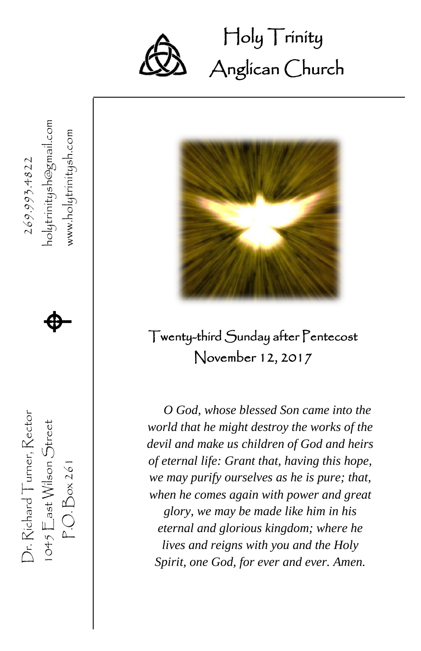

Dr. Richard Turner, Rector

 $1045$   $\sum$ ast Wilson Street  $P.O.Box261$ 

Dr. Richard Turner, Rector

269.993.4822

1045  $\mathsf{E}$ ast Wilson Street  $\bigoplus$ 

P.O. Box 261 www.holytrinitysh.com  $\spadesuit$ 

www.holytrinitysh.com

### Holy Trinity Ĩ Anglican Church



### Twenty-third Sunday after Pentecost November 12, 2017

*O God, whose blessed Son came into the world that he might destroy the works of the devil and make us children of God and heirs of eternal life: Grant that, having this hope, we may purify ourselves as he is pure; that, when he comes again with power and great glory, we may be made like him in his eternal and glorious kingdom; where he lives and reigns with you and the Holy Spirit, one God, for ever and ever. Amen.*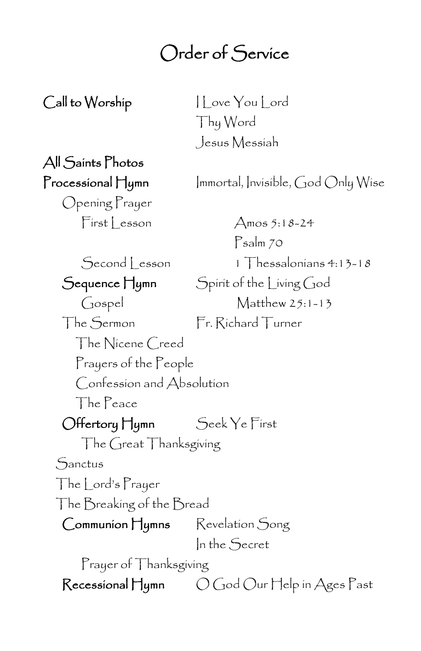## Order of Service

Call to Worship I Love You Lord Thy Word Jesus Messiah

# All Saints Photos

Opening Prayer  $First less on$   $\Delta$ mos 5:18-24

 $\mathsf{Process}$ íonal  $\mathsf{H}$ ymn Immortal, Invisible, God Only Wise

Psalm 70 Second Lesson 1 Thessalonians 4:13-18 Sequence Hymn Spirit of the Living God Gospel Matthew 25:1-13 The Sermon Fr. Richard Turner The Nicene Creed Prayers of the People Confession and Absolution The Peace Offertory Hymn Seek Ye First The Great Thanksgiving Sanctus The Lord's Prayer The Breaking of the Bread Communion Hymns Revelation Song In the Secret Prayer of Thanksgiving Recessional Hymn  $O$  God Our Help in Ages Past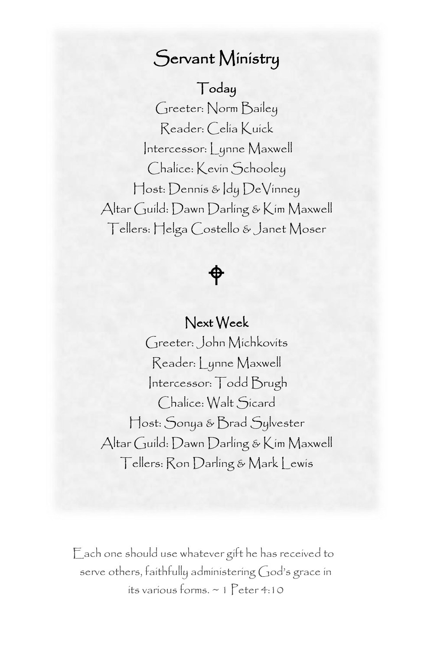### Servant Ministry

### Today

 Reader: Celia Kuick Greeter: Norm Bailey Intercessor: Lynne Maxwell Chalice: Kevin Schooley Host: Dennis & Idy DeVinney Altar Guild: Dawn Darling & Kim Maxwell Tellers: Helga Costello & Janet Moser

# $\hat{\phi}$

### Next Week

Greeter: John Michkovits Reader: Lynne Maxwell Intercessor: Todd Brugh Chalice: Walt Sicard Host: Sonya & Brad Sylvester Altar Guild: Dawn Darling & Kim Maxwell Tellers: Ron Darling & Mark Lewis

Each one should use whatever gift he has received to serve others, faithfully administering God's grace in its various forms. ~ 1 Peter 4:10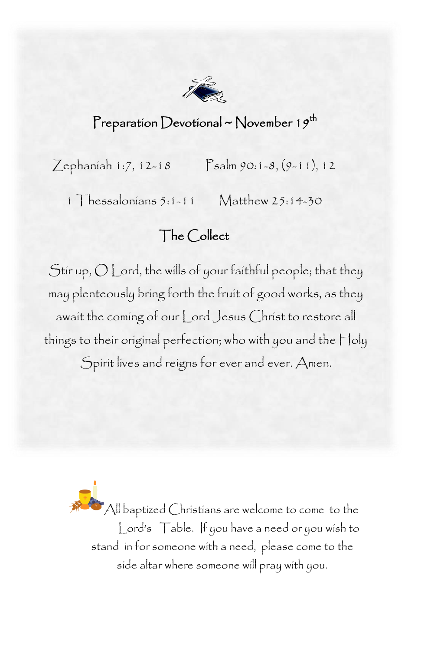

### Preparation Devotional ~ November 19<sup>th</sup>

Zephaniah 1:7, 12-18 Psalm 90:1-8, (9-11), 12

1 Thessalonians 5:1-11 Matthew 25:14-30

### The Collect

ć Stir up,  $\bigcup$  Lord, the wills of your faithful people; that they await the coming of our Lord Jesus Christ to restore all things to their original perfection; who with you and the Holy Spirit lives and reigns for ever and ever. Amen. may plenteously bring forth the fruit of good works, as they

> All baptized Christians are welcome to come to the Lord's Table. If you have a need or you wish to stand in for someone with a need, please come to the side altar where someone will pray with you.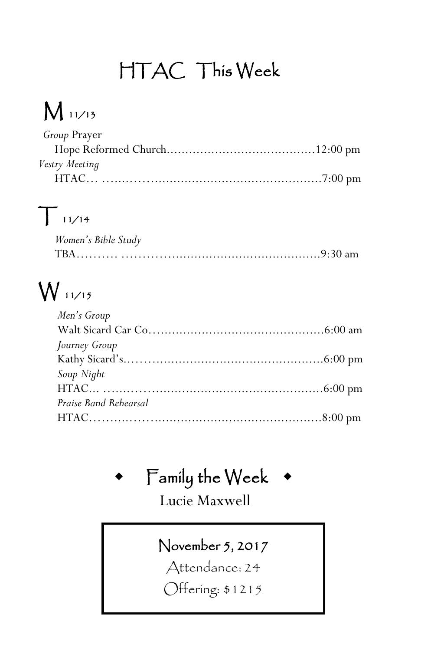# HTAC This Week

# M 11/13

| <i>Group</i> Prayer |  |
|---------------------|--|
|                     |  |
| Vestry Meeting      |  |
|                     |  |

# $T_{11/14}$

| Women's Bible Study |  |
|---------------------|--|
| <b>TRA</b>          |  |

# W 11/15

| Men's Group           |  |
|-----------------------|--|
|                       |  |
| Journey Group         |  |
|                       |  |
| Soup Night            |  |
|                       |  |
| Praise Band Rehearsal |  |
|                       |  |
|                       |  |

# $F$ amily the Week  $\bullet$

Lucie Maxwell

### November 5, 2017

Attendance: 24

Offering: \$1215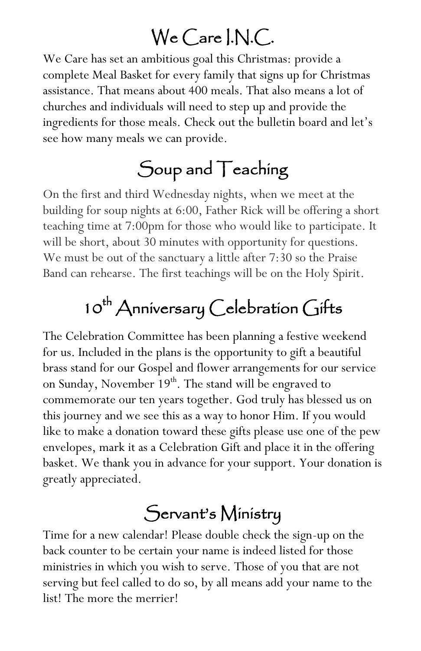## We Care I.N.C.

We Care has set an ambitious goal this Christmas: provide a complete Meal Basket for every family that signs up for Christmas assistance. That means about 400 meals. That also means a lot of churches and individuals will need to step up and provide the ingredients for those meals. Check out the bulletin board and let's see how many meals we can provide.

## Soup and Teaching

On the first and third Wednesday nights, when we meet at the building for soup nights at 6:00, Father Rick will be offering a short teaching time at 7:00pm for those who would like to participate. It will be short, about 30 minutes with opportunity for questions. We must be out of the sanctuary a little after 7:30 so the Praise Band can rehearse. The first teachings will be on the Holy Spirit.

# $10^{th}$  Anniversary Celebration Gifts

The Celebration Committee has been planning a festive weekend for us. Included in the plans is the opportunity to gift a beautiful brass stand for our Gospel and flower arrangements for our service on Sunday, November  $19<sup>th</sup>$ . The stand will be engraved to commemorate our ten years together. God truly has blessed us on this journey and we see this as a way to honor Him. If you would like to make a donation toward these gifts please use one of the pew envelopes, mark it as a Celebration Gift and place it in the offering basket. We thank you in advance for your support. Your donation is greatly appreciated.

## Servant's Ministry

Time for a new calendar! Please double check the sign-up on the back counter to be certain your name is indeed listed for those ministries in which you wish to serve. Those of you that are not serving but feel called to do so, by all means add your name to the list! The more the merrier!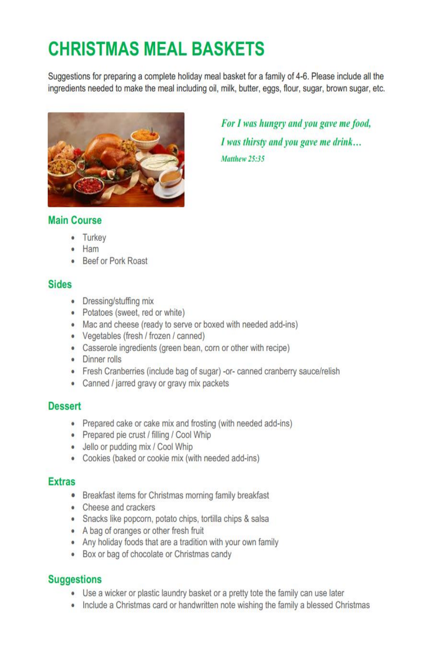## **CHRISTMAS MEAL BASKETS**

Suggestions for preparing a complete holiday meal basket for a family of 4-6. Please include all the ingredients needed to make the meal including oil, milk, butter, eggs, flour, sugar, brown sugar, etc.



For I was hungry and you gave me food, I was thirsty and you gave me drink... Matthew 25-35

#### **Main Course**

- Turkey
- Ham
- Beef or Pork Roast

#### Sides

- Dressing/stuffing mix
- Potatoes (sweet, red or white)
- Mac and cheese (ready to serve or boxed with needed add-ins)
- Vegetables (fresh / frozen / canned)
- Casserole ingredients (green bean, corn or other with recipe)
- Dinner rolls
- Fresh Cranberries (include bag of sugar) -or- canned cranberry sauce/relish
- Canned / jarred gravy or gravy mix packets

#### **Dessert**

- Prepared cake or cake mix and frosting (with needed add-ins)
- Prepared pie crust / filling / Cool Whip
- · Jello or pudding mix / Cool Whip
- Cookies (baked or cookie mix (with needed add-ins)

### **Extras**

- Breakfast items for Christmas morning family breakfast
- Cheese and crackers
- · Snacks like popcorn, potato chips, tortilla chips & salsa
- A bag of oranges or other fresh fruit
- Any holiday foods that are a tradition with your own family
- Box or bag of chocolate or Christmas candy

### **Suggestions**

- Use a wicker or plastic laundry basket or a pretty tote the family can use later
- Include a Christmas card or handwritten note wishing the family a blessed Christmas